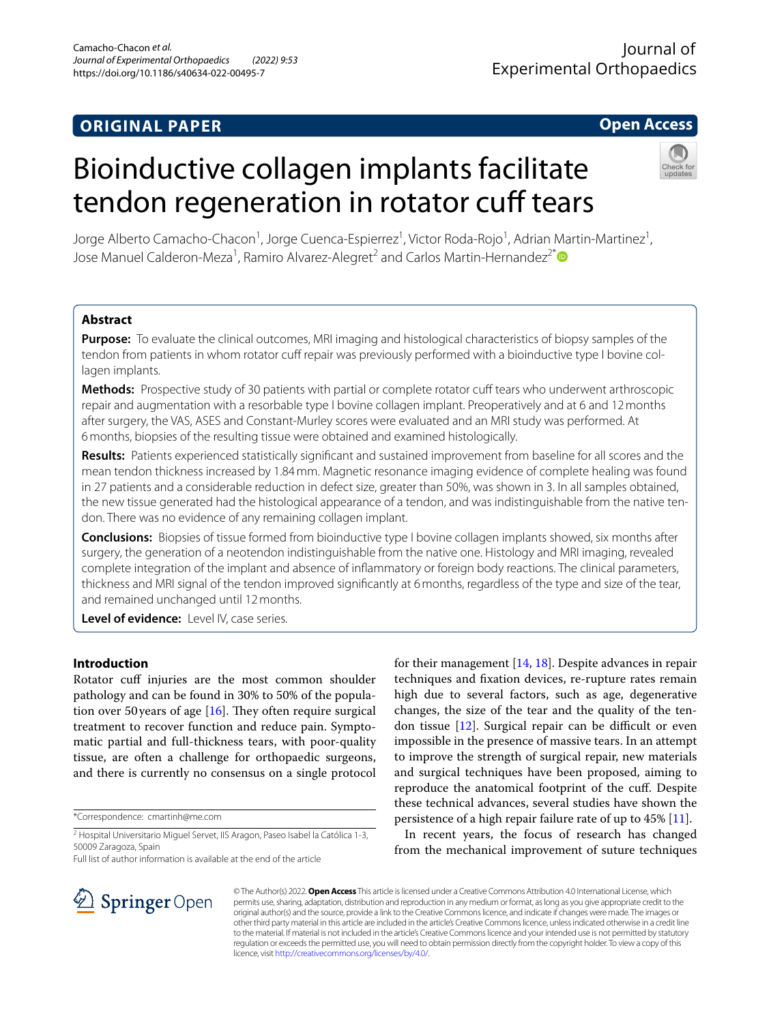## **ORIGINAL PAPER**

Journal of Experimental Orthopaedics

### **Open Access**

# Bioinductive collagen implants facilitate tendon regeneration in rotator cuff tears



Jorge Alberto Camacho-Chacon<sup>1</sup>, Jorge Cuenca-Espierrez<sup>1</sup>, Victor Roda-Rojo<sup>1</sup>, Adrian Martin-Martinez<sup>1</sup>, Jose Manuel Calderon-Meza<sup>1</sup>, Ramiro Alvarez-Alegret<sup>2</sup> and Carlos Martin-Hernandez<sup>2\*</sup><sup>®</sup>

#### **Abstract**

**Purpose:** To evaluate the clinical outcomes, MRI imaging and histological characteristics of biopsy samples of the tendon from patients in whom rotator cuff repair was previously performed with a bioinductive type I bovine collagen implants.

**Methods:** Prospective study of 30 patients with partial or complete rotator cuff tears who underwent arthroscopic repair and augmentation with a resorbable type I bovine collagen implant. Preoperatively and at 6 and 12months after surgery, the VAS, ASES and Constant-Murley scores were evaluated and an MRI study was performed. At 6months, biopsies of the resulting tissue were obtained and examined histologically.

**Results:** Patients experienced statistically signifcant and sustained improvement from baseline for all scores and the mean tendon thickness increased by 1.84mm. Magnetic resonance imaging evidence of complete healing was found in 27 patients and a considerable reduction in defect size, greater than 50%, was shown in 3. In all samples obtained, the new tissue generated had the histological appearance of a tendon, and was indistinguishable from the native tendon. There was no evidence of any remaining collagen implant.

**Conclusions:** Biopsies of tissue formed from bioinductive type I bovine collagen implants showed, six months after surgery, the generation of a neotendon indistinguishable from the native one. Histology and MRI imaging, revealed complete integration of the implant and absence of infammatory or foreign body reactions. The clinical parameters, thickness and MRI signal of the tendon improved signifcantly at 6months, regardless of the type and size of the tear, and remained unchanged until 12months.

**Level of evidence:** Level IV, case series.

#### **Introduction**

Rotator cuff injuries are the most common shoulder pathology and can be found in 30% to 50% of the population over 50 years of age  $[16]$  $[16]$  $[16]$ . They often require surgical treatment to recover function and reduce pain. Symptomatic partial and full-thickness tears, with poor-quality tissue, are often a challenge for orthopaedic surgeons, and there is currently no consensus on a single protocol

\*Correspondence: cmartinh@me.com

Full list of author information is available at the end of the article



In recent years, the focus of research has changed from the mechanical improvement of suture techniques



© The Author(s) 2022. **Open Access** This article is licensed under a Creative Commons Attribution 4.0 International License, which permits use, sharing, adaptation, distribution and reproduction in any medium or format, as long as you give appropriate credit to the original author(s) and the source, provide a link to the Creative Commons licence, and indicate if changes were made. The images or other third party material in this article are included in the article's Creative Commons licence, unless indicated otherwise in a credit line to the material. If material is not included in the article's Creative Commons licence and your intended use is not permitted by statutory regulation or exceeds the permitted use, you will need to obtain permission directly from the copyright holder. To view a copy of this licence, visit [http://creativecommons.org/licenses/by/4.0/.](http://creativecommons.org/licenses/by/4.0/)

<sup>&</sup>lt;sup>2</sup> Hospital Universitario Miguel Servet, IIS Aragon, Paseo Isabel la Católica 1-3, 50009 Zaragoza, Spain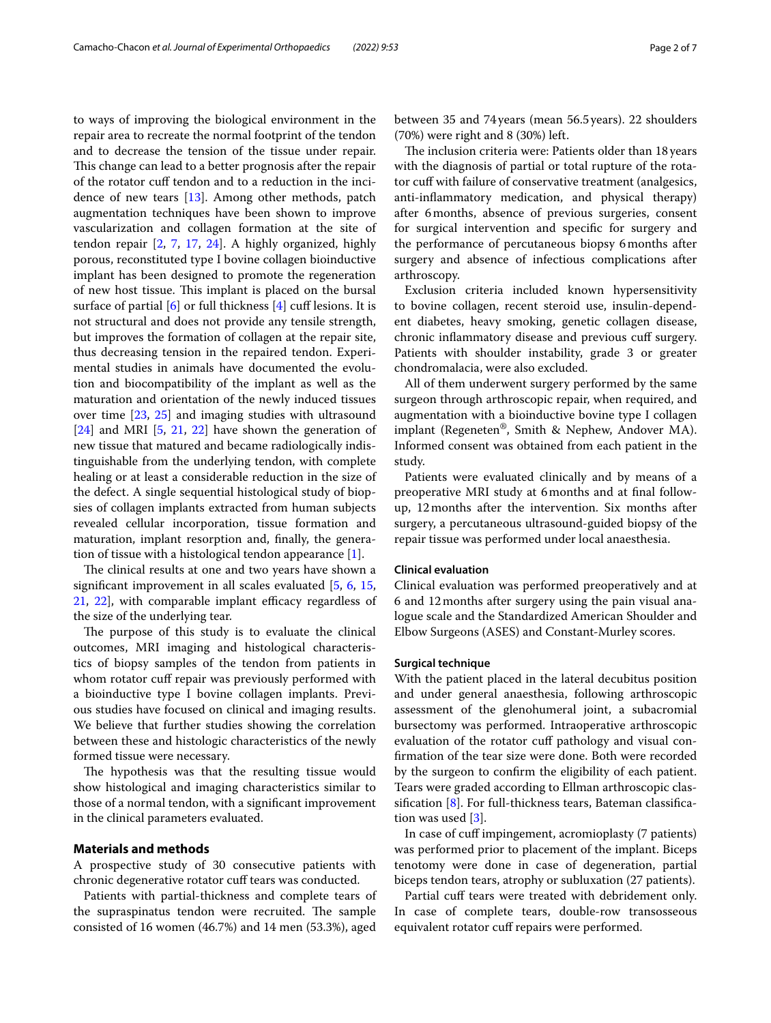to ways of improving the biological environment in the repair area to recreate the normal footprint of the tendon and to decrease the tension of the tissue under repair. This change can lead to a better prognosis after the repair of the rotator cuf tendon and to a reduction in the incidence of new tears [\[13](#page-6-5)]. Among other methods, patch augmentation techniques have been shown to improve vascularization and collagen formation at the site of tendon repair [\[2](#page-6-6), [7](#page-6-7), [17](#page-6-8), [24](#page-6-9)]. A highly organized, highly porous, reconstituted type I bovine collagen bioinductive implant has been designed to promote the regeneration of new host tissue. This implant is placed on the bursal surface of partial  $[6]$  $[6]$  or full thickness  $[4]$  $[4]$  $[4]$  cuff lesions. It is not structural and does not provide any tensile strength, but improves the formation of collagen at the repair site, thus decreasing tension in the repaired tendon. Experimental studies in animals have documented the evolution and biocompatibility of the implant as well as the maturation and orientation of the newly induced tissues over time [[23,](#page-6-12) [25](#page-6-13)] and imaging studies with ultrasound [[24\]](#page-6-9) and MRI [\[5](#page-6-14), [21](#page-6-15), [22](#page-6-16)] have shown the generation of new tissue that matured and became radiologically indistinguishable from the underlying tendon, with complete healing or at least a considerable reduction in the size of the defect. A single sequential histological study of biopsies of collagen implants extracted from human subjects revealed cellular incorporation, tissue formation and maturation, implant resorption and, fnally, the generation of tissue with a histological tendon appearance [\[1](#page-6-17)].

The clinical results at one and two years have shown a signifcant improvement in all scales evaluated [[5,](#page-6-14) [6,](#page-6-10) [15](#page-6-18),  $21, 22$  $21, 22$ , with comparable implant efficacy regardless of the size of the underlying tear.

The purpose of this study is to evaluate the clinical outcomes, MRI imaging and histological characteristics of biopsy samples of the tendon from patients in whom rotator cuff repair was previously performed with a bioinductive type I bovine collagen implants. Previous studies have focused on clinical and imaging results. We believe that further studies showing the correlation between these and histologic characteristics of the newly formed tissue were necessary.

The hypothesis was that the resulting tissue would show histological and imaging characteristics similar to those of a normal tendon, with a signifcant improvement in the clinical parameters evaluated.

#### **Materials and methods**

A prospective study of 30 consecutive patients with chronic degenerative rotator cuff tears was conducted.

Patients with partial-thickness and complete tears of the supraspinatus tendon were recruited. The sample consisted of 16 women (46.7%) and 14 men (53.3%), aged between 35 and 74years (mean 56.5years). 22 shoulders (70%) were right and 8 (30%) left.

The inclusion criteria were: Patients older than 18 years with the diagnosis of partial or total rupture of the rotator cuff with failure of conservative treatment (analgesics, anti-infammatory medication, and physical therapy) after 6months, absence of previous surgeries, consent for surgical intervention and specifc for surgery and the performance of percutaneous biopsy 6months after surgery and absence of infectious complications after arthroscopy.

Exclusion criteria included known hypersensitivity to bovine collagen, recent steroid use, insulin-dependent diabetes, heavy smoking, genetic collagen disease, chronic infammatory disease and previous cuf surgery. Patients with shoulder instability, grade 3 or greater chondromalacia, were also excluded.

All of them underwent surgery performed by the same surgeon through arthroscopic repair, when required, and augmentation with a bioinductive bovine type I collagen implant (Regeneten®, Smith & Nephew, Andover MA). Informed consent was obtained from each patient in the study.

Patients were evaluated clinically and by means of a preoperative MRI study at 6months and at fnal followup, 12months after the intervention. Six months after surgery, a percutaneous ultrasound-guided biopsy of the repair tissue was performed under local anaesthesia.

#### **Clinical evaluation**

Clinical evaluation was performed preoperatively and at 6 and 12months after surgery using the pain visual analogue scale and the Standardized American Shoulder and Elbow Surgeons (ASES) and Constant-Murley scores.

#### **Surgical technique**

With the patient placed in the lateral decubitus position and under general anaesthesia, following arthroscopic assessment of the glenohumeral joint, a subacromial bursectomy was performed. Intraoperative arthroscopic evaluation of the rotator cuf pathology and visual confrmation of the tear size were done. Both were recorded by the surgeon to confrm the eligibility of each patient. Tears were graded according to Ellman arthroscopic classifcation [[8\]](#page-6-19). For full-thickness tears, Bateman classifcation was used [[3\]](#page-6-20).

In case of cuf impingement, acromioplasty (7 patients) was performed prior to placement of the implant. Biceps tenotomy were done in case of degeneration, partial biceps tendon tears, atrophy or subluxation (27 patients).

Partial cuff tears were treated with debridement only. In case of complete tears, double-row transosseous equivalent rotator cuff repairs were performed.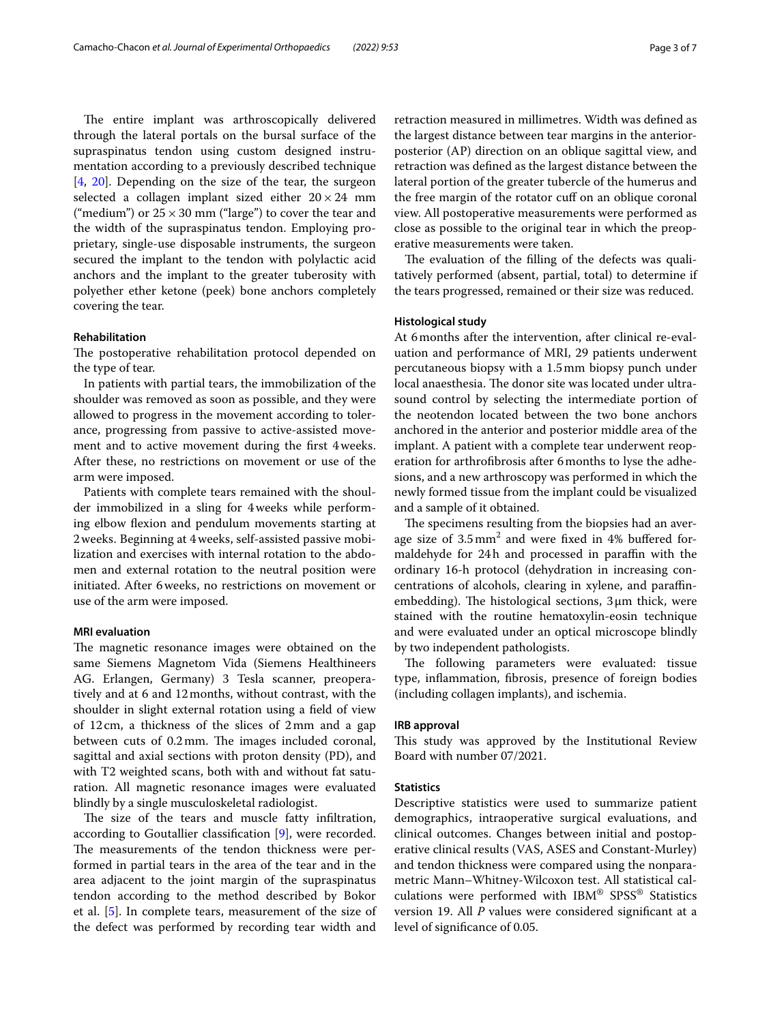The entire implant was arthroscopically delivered through the lateral portals on the bursal surface of the supraspinatus tendon using custom designed instrumentation according to a previously described technique [[4,](#page-6-11) [20\]](#page-6-21). Depending on the size of the tear, the surgeon selected a collagen implant sized either  $20 \times 24$  mm ("medium") or  $25 \times 30$  mm ("large") to cover the tear and the width of the supraspinatus tendon. Employing proprietary, single-use disposable instruments, the surgeon secured the implant to the tendon with polylactic acid anchors and the implant to the greater tuberosity with polyether ether ketone (peek) bone anchors completely covering the tear.

#### **Rehabilitation**

The postoperative rehabilitation protocol depended on the type of tear.

In patients with partial tears, the immobilization of the shoulder was removed as soon as possible, and they were allowed to progress in the movement according to tolerance, progressing from passive to active-assisted movement and to active movement during the frst 4weeks. After these, no restrictions on movement or use of the arm were imposed.

Patients with complete tears remained with the shoulder immobilized in a sling for 4weeks while performing elbow flexion and pendulum movements starting at 2weeks. Beginning at 4weeks, self-assisted passive mobilization and exercises with internal rotation to the abdomen and external rotation to the neutral position were initiated. After 6weeks, no restrictions on movement or use of the arm were imposed.

#### **MRI evaluation**

The magnetic resonance images were obtained on the same Siemens Magnetom Vida (Siemens Healthineers AG. Erlangen, Germany) 3 Tesla scanner, preoperatively and at 6 and 12months, without contrast, with the shoulder in slight external rotation using a feld of view of 12cm, a thickness of the slices of 2mm and a gap between cuts of 0.2 mm. The images included coronal, sagittal and axial sections with proton density (PD), and with T2 weighted scans, both with and without fat saturation. All magnetic resonance images were evaluated blindly by a single musculoskeletal radiologist.

The size of the tears and muscle fatty infiltration, according to Goutallier classifcation [\[9](#page-6-22)], were recorded. The measurements of the tendon thickness were performed in partial tears in the area of the tear and in the area adjacent to the joint margin of the supraspinatus tendon according to the method described by Bokor et al. [[5\]](#page-6-14). In complete tears, measurement of the size of the defect was performed by recording tear width and retraction measured in millimetres. Width was defned as the largest distance between tear margins in the anteriorposterior (AP) direction on an oblique sagittal view, and retraction was defned as the largest distance between the lateral portion of the greater tubercle of the humerus and the free margin of the rotator cuf on an oblique coronal view. All postoperative measurements were performed as close as possible to the original tear in which the preoperative measurements were taken.

The evaluation of the filling of the defects was qualitatively performed (absent, partial, total) to determine if the tears progressed, remained or their size was reduced.

#### **Histological study**

At 6months after the intervention, after clinical re-evaluation and performance of MRI, 29 patients underwent percutaneous biopsy with a 1.5mm biopsy punch under local anaesthesia. The donor site was located under ultrasound control by selecting the intermediate portion of the neotendon located between the two bone anchors anchored in the anterior and posterior middle area of the implant. A patient with a complete tear underwent reoperation for arthrofbrosis after 6months to lyse the adhesions, and a new arthroscopy was performed in which the newly formed tissue from the implant could be visualized and a sample of it obtained.

The specimens resulting from the biopsies had an average size of  $3.5 \text{ mm}^2$  and were fixed in 4% buffered formaldehyde for 24h and processed in paraffin with the ordinary 16-h protocol (dehydration in increasing concentrations of alcohols, clearing in xylene, and parafnembedding). The histological sections,  $3\mu$ m thick, were stained with the routine hematoxylin-eosin technique and were evaluated under an optical microscope blindly by two independent pathologists.

The following parameters were evaluated: tissue type, infammation, fbrosis, presence of foreign bodies (including collagen implants), and ischemia.

#### **IRB approval**

This study was approved by the Institutional Review Board with number 07/2021.

#### **Statistics**

Descriptive statistics were used to summarize patient demographics, intraoperative surgical evaluations, and clinical outcomes. Changes between initial and postoperative clinical results (VAS, ASES and Constant-Murley) and tendon thickness were compared using the nonparametric Mann–Whitney-Wilcoxon test. All statistical calculations were performed with IBM® SPSS® Statistics version 19. All *P* values were considered signifcant at a level of signifcance of 0.05.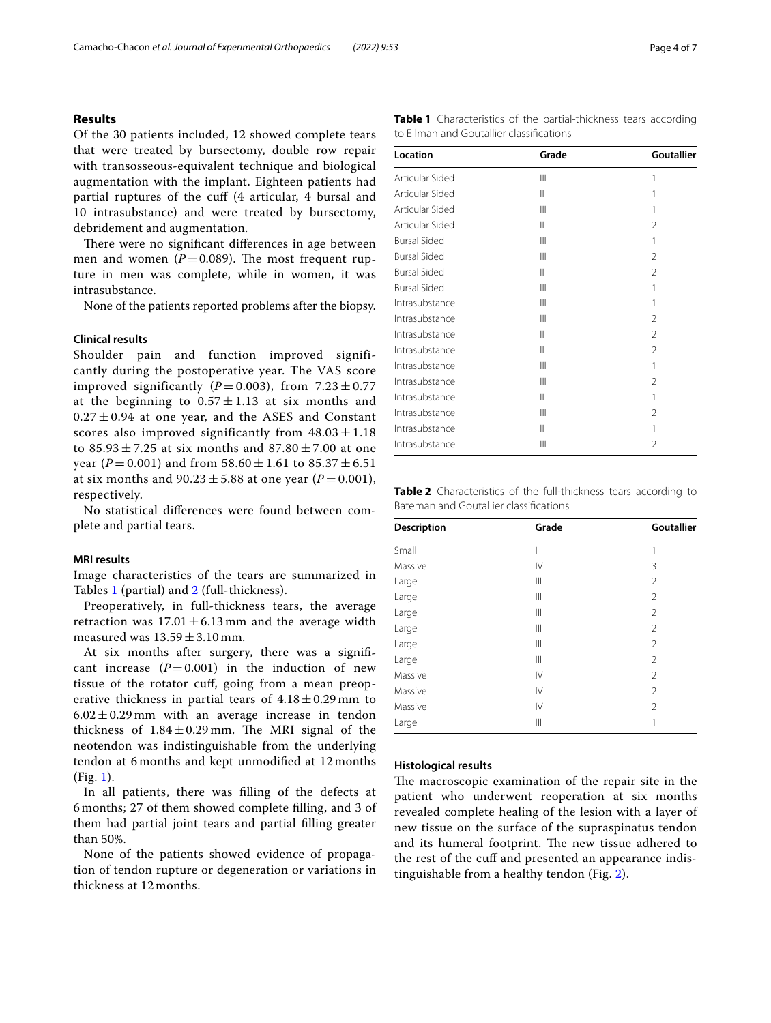#### **Results**

Of the 30 patients included, 12 showed complete tears that were treated by bursectomy, double row repair with transosseous-equivalent technique and biological augmentation with the implant. Eighteen patients had partial ruptures of the cuf (4 articular, 4 bursal and 10 intrasubstance) and were treated by bursectomy, debridement and augmentation.

There were no significant differences in age between men and women  $(P=0.089)$ . The most frequent rupture in men was complete, while in women, it was intrasubstance.

None of the patients reported problems after the biopsy.

#### **Clinical results**

Shoulder pain and function improved significantly during the postoperative year. The VAS score improved significantly ( $P = 0.003$ ), from  $7.23 \pm 0.77$ at the beginning to  $0.57 \pm 1.13$  at six months and  $0.27 \pm 0.94$  at one year, and the ASES and Constant scores also improved significantly from  $48.03 \pm 1.18$ to  $85.93 \pm 7.25$  at six months and  $87.80 \pm 7.00$  at one year ( $P = 0.001$ ) and from  $58.60 \pm 1.61$  to  $85.37 \pm 6.51$ at six months and  $90.23 \pm 5.88$  at one year (*P* = 0.001), respectively.

No statistical diferences were found between complete and partial tears.

#### **MRI results**

Image characteristics of the tears are summarized in Tables [1](#page-3-0) (partial) and [2](#page-3-1) (full-thickness).

Preoperatively, in full-thickness tears, the average retraction was  $17.01 \pm 6.13$  mm and the average width measured was  $13.59 \pm 3.10$  mm.

At six months after surgery, there was a signifcant increase  $(P=0.001)$  in the induction of new tissue of the rotator cuf, going from a mean preoperative thickness in partial tears of  $4.18 \pm 0.29$  mm to  $6.02 \pm 0.29$  mm with an average increase in tendon thickness of  $1.84 \pm 0.29$  mm. The MRI signal of the neotendon was indistinguishable from the underlying tendon at 6 months and kept unmodifed at 12 months (Fig. [1\)](#page-4-0).

In all patients, there was flling of the defects at 6 months; 27 of them showed complete flling, and 3 of them had partial joint tears and partial flling greater than 50%.

None of the patients showed evidence of propagation of tendon rupture or degeneration or variations in thickness at 12 months.

<span id="page-3-0"></span>

|                                          | Table 1 Characteristics of the partial-thickness tears according |  |
|------------------------------------------|------------------------------------------------------------------|--|
| to Ellman and Goutallier classifications |                                                                  |  |

| Location            | Grade          | <b>Goutallier</b> |
|---------------------|----------------|-------------------|
| Articular Sided     | $\mathbf{III}$ | 1                 |
| Articular Sided     | $\mathbf{I}$   | 1                 |
| Articular Sided     | $\mathsf{III}$ | 1                 |
| Articular Sided     | Ш              | $\mathfrak{D}$    |
| <b>Bursal Sided</b> | $\mathsf{III}$ | 1                 |
| <b>Bursal Sided</b> | $\mathsf{III}$ | $\mathfrak{D}$    |
| <b>Bursal Sided</b> | Ш              | $\overline{2}$    |
| <b>Bursal Sided</b> | $\mathbf{III}$ | 1                 |
| Intrasubstance      | $\mathsf{III}$ | 1                 |
| Intrasubstance      | Ш              | $\mathfrak{D}$    |
| Intrasubstance      | Ш              | $\mathfrak{D}$    |
| Intrasubstance      | Ш              | $\mathfrak{D}$    |
| Intrasubstance      | $\mathsf{III}$ | 1                 |
| Intrasubstance      | $\mathsf{III}$ | $\mathfrak{D}$    |
| Intrasubstance      | Ш              | 1                 |
| Intrasubstance      | $\mathbf{III}$ | 2                 |
| Intrasubstance      | Ш              | 1                 |
| Intrasubstance      | $\mathsf{III}$ | $\mathfrak{D}$    |

<span id="page-3-1"></span>**Table 2** Characteristics of the full-thickness tears according to Bateman and Goutallier classifcations

| Description | Grade       | <b>Goutallier</b> |  |
|-------------|-------------|-------------------|--|
| Small       |             | 1                 |  |
| Massive     | IV          | 3                 |  |
| Large       | Ш           | $\overline{2}$    |  |
| Large       | Ш           | $\overline{2}$    |  |
| Large       | Ш           | $\overline{2}$    |  |
| Large       | Ш           | $\overline{2}$    |  |
| Large       | Ш           | $\overline{2}$    |  |
| Large       | Ш           | 2                 |  |
| Massive     | IV          | $\overline{2}$    |  |
| Massive     | IV          | $\overline{2}$    |  |
| Massive     | IV          | $\overline{2}$    |  |
| Large       | $\parallel$ | 1                 |  |

#### **Histological results**

The macroscopic examination of the repair site in the patient who underwent reoperation at six months revealed complete healing of the lesion with a layer of new tissue on the surface of the supraspinatus tendon and its humeral footprint. The new tissue adhered to the rest of the cuff and presented an appearance indistinguishable from a healthy tendon (Fig. [2\)](#page-4-1).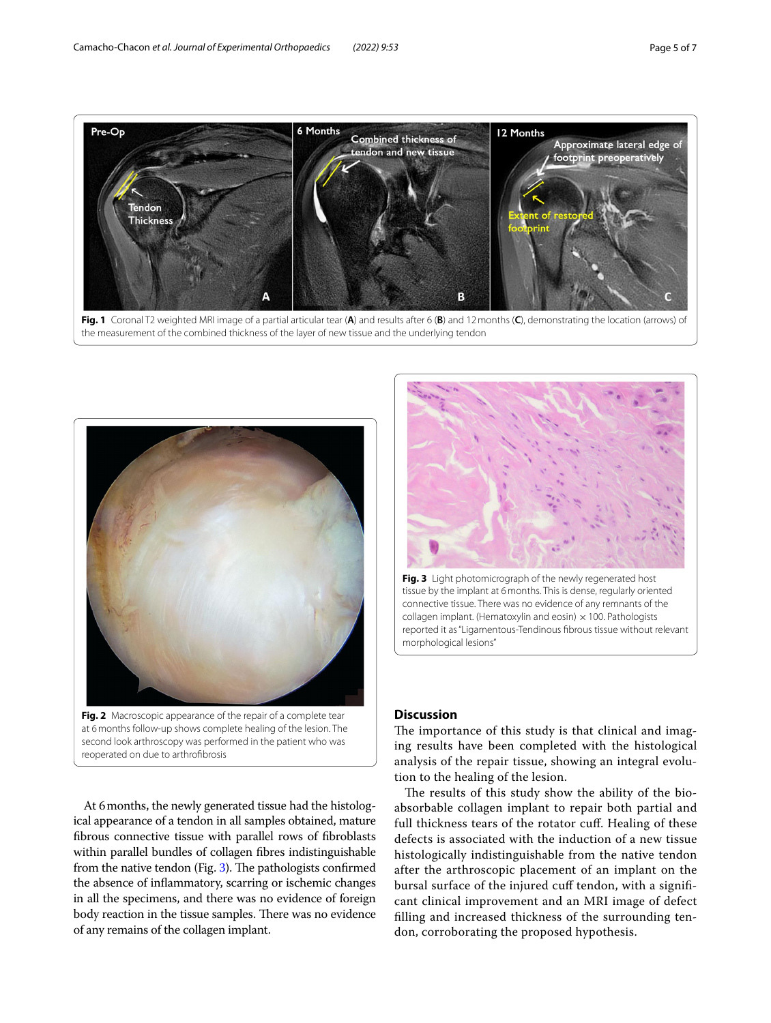

<span id="page-4-0"></span>

<span id="page-4-1"></span>at 6months follow-up shows complete healing of the lesion. The second look arthroscopy was performed in the patient who was reoperated on due to arthrofbrosis

At 6months, the newly generated tissue had the histological appearance of a tendon in all samples obtained, mature fbrous connective tissue with parallel rows of fbroblasts within parallel bundles of collagen fbres indistinguishable from the native tendon (Fig. [3](#page-4-2)). The pathologists confirmed the absence of infammatory, scarring or ischemic changes in all the specimens, and there was no evidence of foreign body reaction in the tissue samples. There was no evidence of any remains of the collagen implant.



<span id="page-4-2"></span>**Fig. 3** Light photomicrograph of the newly regenerated host tissue by the implant at 6months. This is dense, regularly oriented connective tissue. There was no evidence of any remnants of the collagen implant. (Hematoxylin and eosin)  $\times$  100. Pathologists reported it as "Ligamentous-Tendinous fbrous tissue without relevant morphological lesions"

#### **Discussion**

The importance of this study is that clinical and imaging results have been completed with the histological analysis of the repair tissue, showing an integral evolution to the healing of the lesion.

The results of this study show the ability of the bioabsorbable collagen implant to repair both partial and full thickness tears of the rotator cuf. Healing of these defects is associated with the induction of a new tissue histologically indistinguishable from the native tendon after the arthroscopic placement of an implant on the bursal surface of the injured cuf tendon, with a signifcant clinical improvement and an MRI image of defect flling and increased thickness of the surrounding tendon, corroborating the proposed hypothesis.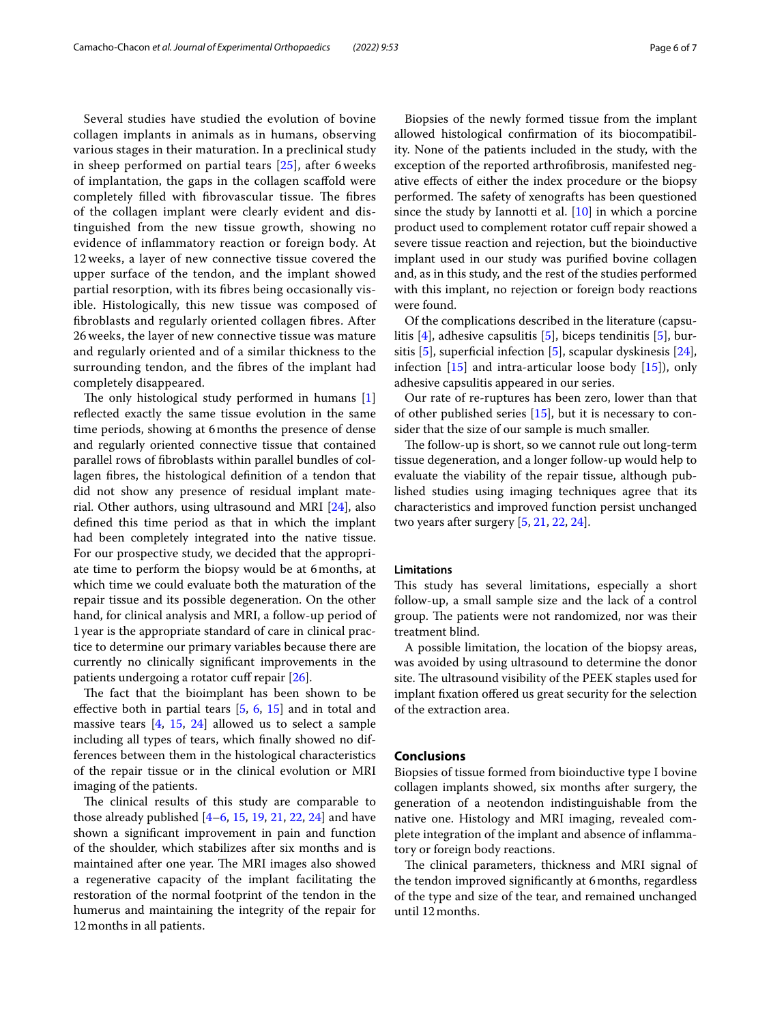Several studies have studied the evolution of bovine collagen implants in animals as in humans, observing various stages in their maturation. In a preclinical study in sheep performed on partial tears [[25\]](#page-6-13), after 6 weeks of implantation, the gaps in the collagen scafold were completely filled with fibrovascular tissue. The fibres of the collagen implant were clearly evident and distinguished from the new tissue growth, showing no evidence of infammatory reaction or foreign body. At 12 weeks, a layer of new connective tissue covered the upper surface of the tendon, and the implant showed partial resorption, with its fbres being occasionally visible. Histologically, this new tissue was composed of fbroblasts and regularly oriented collagen fbres. After 26 weeks, the layer of new connective tissue was mature and regularly oriented and of a similar thickness to the surrounding tendon, and the fbres of the implant had completely disappeared.

The only histological study performed in humans  $[1]$  $[1]$ refected exactly the same tissue evolution in the same time periods, showing at 6months the presence of dense and regularly oriented connective tissue that contained parallel rows of fbroblasts within parallel bundles of collagen fbres, the histological defnition of a tendon that did not show any presence of residual implant material. Other authors, using ultrasound and MRI [\[24\]](#page-6-9), also defned this time period as that in which the implant had been completely integrated into the native tissue. For our prospective study, we decided that the appropriate time to perform the biopsy would be at 6months, at which time we could evaluate both the maturation of the repair tissue and its possible degeneration. On the other hand, for clinical analysis and MRI, a follow-up period of 1year is the appropriate standard of care in clinical practice to determine our primary variables because there are currently no clinically signifcant improvements in the patients undergoing a rotator cuff repair  $[26]$ .

The fact that the bioimplant has been shown to be effective both in partial tears  $[5, 6, 15]$  $[5, 6, 15]$  $[5, 6, 15]$  $[5, 6, 15]$  $[5, 6, 15]$  $[5, 6, 15]$  $[5, 6, 15]$  and in total and massive tears [[4,](#page-6-11) [15](#page-6-18), [24](#page-6-9)] allowed us to select a sample including all types of tears, which fnally showed no differences between them in the histological characteristics of the repair tissue or in the clinical evolution or MRI imaging of the patients.

The clinical results of this study are comparable to those already published  $[4-6, 15, 19, 21, 22, 24]$  $[4-6, 15, 19, 21, 22, 24]$  $[4-6, 15, 19, 21, 22, 24]$  $[4-6, 15, 19, 21, 22, 24]$  $[4-6, 15, 19, 21, 22, 24]$  $[4-6, 15, 19, 21, 22, 24]$  $[4-6, 15, 19, 21, 22, 24]$  $[4-6, 15, 19, 21, 22, 24]$  $[4-6, 15, 19, 21, 22, 24]$  $[4-6, 15, 19, 21, 22, 24]$  and have shown a signifcant improvement in pain and function of the shoulder, which stabilizes after six months and is maintained after one year. The MRI images also showed a regenerative capacity of the implant facilitating the restoration of the normal footprint of the tendon in the humerus and maintaining the integrity of the repair for 12months in all patients.

Biopsies of the newly formed tissue from the implant allowed histological confrmation of its biocompatibility. None of the patients included in the study, with the exception of the reported arthrofbrosis, manifested negative efects of either the index procedure or the biopsy performed. The safety of xenografts has been questioned since the study by Iannotti et al. [[10\]](#page-6-25) in which a porcine product used to complement rotator cuf repair showed a severe tissue reaction and rejection, but the bioinductive implant used in our study was purifed bovine collagen and, as in this study, and the rest of the studies performed with this implant, no rejection or foreign body reactions were found.

Of the complications described in the literature (capsulitis [[4\]](#page-6-11), adhesive capsulitis [\[5](#page-6-14)], biceps tendinitis [[5\]](#page-6-14), bur-sitis [[5\]](#page-6-14), superficial infection [5], scapular dyskinesis [\[24](#page-6-9)], infection [\[15](#page-6-18)] and intra-articular loose body [[15](#page-6-18)]), only adhesive capsulitis appeared in our series.

Our rate of re-ruptures has been zero, lower than that of other published series [[15\]](#page-6-18), but it is necessary to consider that the size of our sample is much smaller.

The follow-up is short, so we cannot rule out long-term tissue degeneration, and a longer follow-up would help to evaluate the viability of the repair tissue, although published studies using imaging techniques agree that its characteristics and improved function persist unchanged two years after surgery [[5,](#page-6-14) [21](#page-6-15), [22,](#page-6-16) [24\]](#page-6-9).

#### **Limitations**

This study has several limitations, especially a short follow-up, a small sample size and the lack of a control group. The patients were not randomized, nor was their treatment blind.

A possible limitation, the location of the biopsy areas, was avoided by using ultrasound to determine the donor site. The ultrasound visibility of the PEEK staples used for implant fxation ofered us great security for the selection of the extraction area.

#### **Conclusions**

Biopsies of tissue formed from bioinductive type I bovine collagen implants showed, six months after surgery, the generation of a neotendon indistinguishable from the native one. Histology and MRI imaging, revealed complete integration of the implant and absence of infammatory or foreign body reactions.

The clinical parameters, thickness and MRI signal of the tendon improved signifcantly at 6months, regardless of the type and size of the tear, and remained unchanged until 12months.